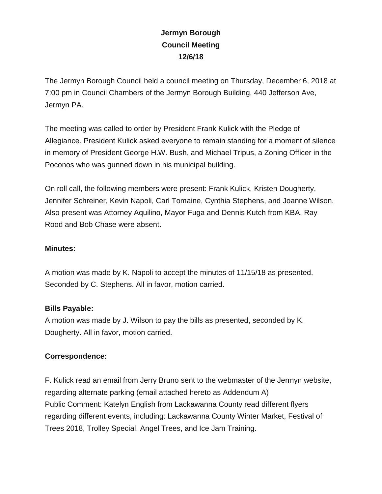## **Jermyn Borough Council Meeting 12/6/18**

The Jermyn Borough Council held a council meeting on Thursday, December 6, 2018 at 7:00 pm in Council Chambers of the Jermyn Borough Building, 440 Jefferson Ave, Jermyn PA.

The meeting was called to order by President Frank Kulick with the Pledge of Allegiance. President Kulick asked everyone to remain standing for a moment of silence in memory of President George H.W. Bush, and Michael Tripus, a Zoning Officer in the Poconos who was gunned down in his municipal building.

On roll call, the following members were present: Frank Kulick, Kristen Dougherty, Jennifer Schreiner, Kevin Napoli, Carl Tomaine, Cynthia Stephens, and Joanne Wilson. Also present was Attorney Aquilino, Mayor Fuga and Dennis Kutch from KBA. Ray Rood and Bob Chase were absent.

## **Minutes:**

A motion was made by K. Napoli to accept the minutes of 11/15/18 as presented. Seconded by C. Stephens. All in favor, motion carried.

## **Bills Payable:**

A motion was made by J. Wilson to pay the bills as presented, seconded by K. Dougherty. All in favor, motion carried.

## **Correspondence:**

F. Kulick read an email from Jerry Bruno sent to the webmaster of the Jermyn website, regarding alternate parking (email attached hereto as Addendum A) Public Comment: Katelyn English from Lackawanna County read different flyers regarding different events, including: Lackawanna County Winter Market, Festival of Trees 2018, Trolley Special, Angel Trees, and Ice Jam Training.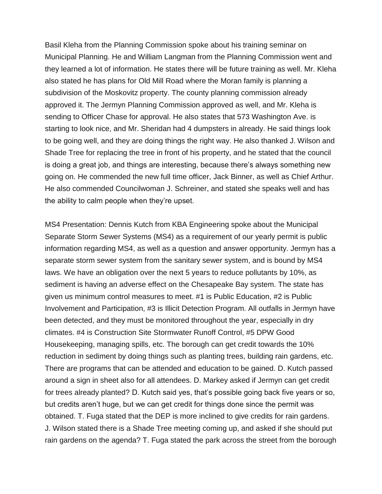Basil Kleha from the Planning Commission spoke about his training seminar on Municipal Planning. He and William Langman from the Planning Commission went and they learned a lot of information. He states there will be future training as well. Mr. Kleha also stated he has plans for Old Mill Road where the Moran family is planning a subdivision of the Moskovitz property. The county planning commission already approved it. The Jermyn Planning Commission approved as well, and Mr. Kleha is sending to Officer Chase for approval. He also states that 573 Washington Ave. is starting to look nice, and Mr. Sheridan had 4 dumpsters in already. He said things look to be going well, and they are doing things the right way. He also thanked J. Wilson and Shade Tree for replacing the tree in front of his property, and he stated that the council is doing a great job, and things are interesting, because there's always something new going on. He commended the new full time officer, Jack Binner, as well as Chief Arthur. He also commended Councilwoman J. Schreiner, and stated she speaks well and has the ability to calm people when they're upset.

MS4 Presentation: Dennis Kutch from KBA Engineering spoke about the Municipal Separate Storm Sewer Systems (MS4) as a requirement of our yearly permit is public information regarding MS4, as well as a question and answer opportunity. Jermyn has a separate storm sewer system from the sanitary sewer system, and is bound by MS4 laws. We have an obligation over the next 5 years to reduce pollutants by 10%, as sediment is having an adverse effect on the Chesapeake Bay system. The state has given us minimum control measures to meet. #1 is Public Education, #2 is Public Involvement and Participation, #3 is Illicit Detection Program. All outfalls in Jermyn have been detected, and they must be monitored throughout the year, especially in dry climates. #4 is Construction Site Stormwater Runoff Control, #5 DPW Good Housekeeping, managing spills, etc. The borough can get credit towards the 10% reduction in sediment by doing things such as planting trees, building rain gardens, etc. There are programs that can be attended and education to be gained. D. Kutch passed around a sign in sheet also for all attendees. D. Markey asked if Jermyn can get credit for trees already planted? D. Kutch said yes, that's possible going back five years or so, but credits aren't huge, but we can get credit for things done since the permit was obtained. T. Fuga stated that the DEP is more inclined to give credits for rain gardens. J. Wilson stated there is a Shade Tree meeting coming up, and asked if she should put rain gardens on the agenda? T. Fuga stated the park across the street from the borough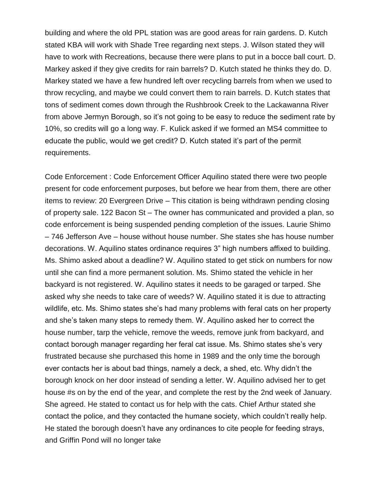building and where the old PPL station was are good areas for rain gardens. D. Kutch stated KBA will work with Shade Tree regarding next steps. J. Wilson stated they will have to work with Recreations, because there were plans to put in a bocce ball court. D. Markey asked if they give credits for rain barrels? D. Kutch stated he thinks they do. D. Markey stated we have a few hundred left over recycling barrels from when we used to throw recycling, and maybe we could convert them to rain barrels. D. Kutch states that tons of sediment comes down through the Rushbrook Creek to the Lackawanna River from above Jermyn Borough, so it's not going to be easy to reduce the sediment rate by 10%, so credits will go a long way. F. Kulick asked if we formed an MS4 committee to educate the public, would we get credit? D. Kutch stated it's part of the permit requirements.

Code Enforcement : Code Enforcement Officer Aquilino stated there were two people present for code enforcement purposes, but before we hear from them, there are other items to review: 20 Evergreen Drive – This citation is being withdrawn pending closing of property sale. 122 Bacon St – The owner has communicated and provided a plan, so code enforcement is being suspended pending completion of the issues. Laurie Shimo – 746 Jefferson Ave – house without house number. She states she has house number decorations. W. Aquilino states ordinance requires 3" high numbers affixed to building. Ms. Shimo asked about a deadline? W. Aquilino stated to get stick on numbers for now until she can find a more permanent solution. Ms. Shimo stated the vehicle in her backyard is not registered. W. Aquilino states it needs to be garaged or tarped. She asked why she needs to take care of weeds? W. Aquilino stated it is due to attracting wildlife, etc. Ms. Shimo states she's had many problems with feral cats on her property and she's taken many steps to remedy them. W. Aquilino asked her to correct the house number, tarp the vehicle, remove the weeds, remove junk from backyard, and contact borough manager regarding her feral cat issue. Ms. Shimo states she's very frustrated because she purchased this home in 1989 and the only time the borough ever contacts her is about bad things, namely a deck, a shed, etc. Why didn't the borough knock on her door instead of sending a letter. W. Aquilino advised her to get house #s on by the end of the year, and complete the rest by the 2nd week of January. She agreed. He stated to contact us for help with the cats. Chief Arthur stated she contact the police, and they contacted the humane society, which couldn't really help. He stated the borough doesn't have any ordinances to cite people for feeding strays, and Griffin Pond will no longer take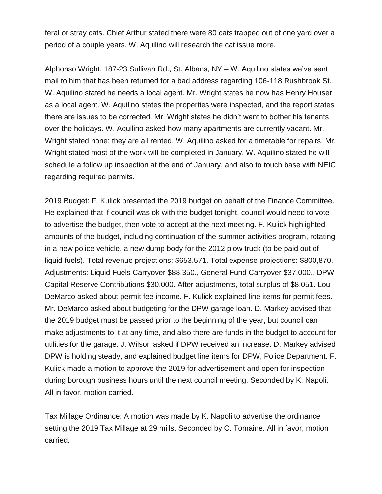feral or stray cats. Chief Arthur stated there were 80 cats trapped out of one yard over a period of a couple years. W. Aquilino will research the cat issue more.

Alphonso Wright, 187-23 Sullivan Rd., St. Albans, NY – W. Aquilino states we've sent mail to him that has been returned for a bad address regarding 106-118 Rushbrook St. W. Aquilino stated he needs a local agent. Mr. Wright states he now has Henry Houser as a local agent. W. Aquilino states the properties were inspected, and the report states there are issues to be corrected. Mr. Wright states he didn't want to bother his tenants over the holidays. W. Aquilino asked how many apartments are currently vacant. Mr. Wright stated none; they are all rented. W. Aquilino asked for a timetable for repairs. Mr. Wright stated most of the work will be completed in January. W. Aquilino stated he will schedule a follow up inspection at the end of January, and also to touch base with NEIC regarding required permits.

2019 Budget: F. Kulick presented the 2019 budget on behalf of the Finance Committee. He explained that if council was ok with the budget tonight, council would need to vote to advertise the budget, then vote to accept at the next meeting. F. Kulick highlighted amounts of the budget, including continuation of the summer activities program, rotating in a new police vehicle, a new dump body for the 2012 plow truck (to be paid out of liquid fuels). Total revenue projections: \$653.571. Total expense projections: \$800,870. Adjustments: Liquid Fuels Carryover \$88,350., General Fund Carryover \$37,000., DPW Capital Reserve Contributions \$30,000. After adjustments, total surplus of \$8,051. Lou DeMarco asked about permit fee income. F. Kulick explained line items for permit fees. Mr. DeMarco asked about budgeting for the DPW garage loan. D. Markey advised that the 2019 budget must be passed prior to the beginning of the year, but council can make adjustments to it at any time, and also there are funds in the budget to account for utilities for the garage. J. Wilson asked if DPW received an increase. D. Markey advised DPW is holding steady, and explained budget line items for DPW, Police Department. F. Kulick made a motion to approve the 2019 for advertisement and open for inspection during borough business hours until the next council meeting. Seconded by K. Napoli. All in favor, motion carried.

Tax Millage Ordinance: A motion was made by K. Napoli to advertise the ordinance setting the 2019 Tax Millage at 29 mills. Seconded by C. Tomaine. All in favor, motion carried.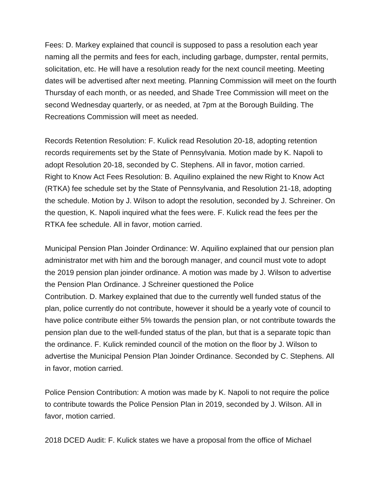Fees: D. Markey explained that council is supposed to pass a resolution each year naming all the permits and fees for each, including garbage, dumpster, rental permits, solicitation, etc. He will have a resolution ready for the next council meeting. Meeting dates will be advertised after next meeting. Planning Commission will meet on the fourth Thursday of each month, or as needed, and Shade Tree Commission will meet on the second Wednesday quarterly, or as needed, at 7pm at the Borough Building. The Recreations Commission will meet as needed.

Records Retention Resolution: F. Kulick read Resolution 20-18, adopting retention records requirements set by the State of Pennsylvania. Motion made by K. Napoli to adopt Resolution 20-18, seconded by C. Stephens. All in favor, motion carried. Right to Know Act Fees Resolution: B. Aquilino explained the new Right to Know Act (RTKA) fee schedule set by the State of Pennsylvania, and Resolution 21-18, adopting the schedule. Motion by J. Wilson to adopt the resolution, seconded by J. Schreiner. On the question, K. Napoli inquired what the fees were. F. Kulick read the fees per the RTKA fee schedule. All in favor, motion carried.

Municipal Pension Plan Joinder Ordinance: W. Aquilino explained that our pension plan administrator met with him and the borough manager, and council must vote to adopt the 2019 pension plan joinder ordinance. A motion was made by J. Wilson to advertise the Pension Plan Ordinance. J Schreiner questioned the Police Contribution. D. Markey explained that due to the currently well funded status of the plan, police currently do not contribute, however it should be a yearly vote of council to have police contribute either 5% towards the pension plan, or not contribute towards the pension plan due to the well-funded status of the plan, but that is a separate topic than the ordinance. F. Kulick reminded council of the motion on the floor by J. Wilson to advertise the Municipal Pension Plan Joinder Ordinance. Seconded by C. Stephens. All in favor, motion carried.

Police Pension Contribution: A motion was made by K. Napoli to not require the police to contribute towards the Police Pension Plan in 2019, seconded by J. Wilson. All in favor, motion carried.

2018 DCED Audit: F. Kulick states we have a proposal from the office of Michael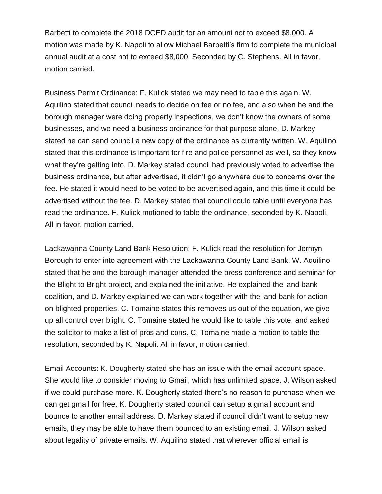Barbetti to complete the 2018 DCED audit for an amount not to exceed \$8,000. A motion was made by K. Napoli to allow Michael Barbetti's firm to complete the municipal annual audit at a cost not to exceed \$8,000. Seconded by C. Stephens. All in favor, motion carried.

Business Permit Ordinance: F. Kulick stated we may need to table this again. W. Aquilino stated that council needs to decide on fee or no fee, and also when he and the borough manager were doing property inspections, we don't know the owners of some businesses, and we need a business ordinance for that purpose alone. D. Markey stated he can send council a new copy of the ordinance as currently written. W. Aquilino stated that this ordinance is important for fire and police personnel as well, so they know what they're getting into. D. Markey stated council had previously voted to advertise the business ordinance, but after advertised, it didn't go anywhere due to concerns over the fee. He stated it would need to be voted to be advertised again, and this time it could be advertised without the fee. D. Markey stated that council could table until everyone has read the ordinance. F. Kulick motioned to table the ordinance, seconded by K. Napoli. All in favor, motion carried.

Lackawanna County Land Bank Resolution: F. Kulick read the resolution for Jermyn Borough to enter into agreement with the Lackawanna County Land Bank. W. Aquilino stated that he and the borough manager attended the press conference and seminar for the Blight to Bright project, and explained the initiative. He explained the land bank coalition, and D. Markey explained we can work together with the land bank for action on blighted properties. C. Tomaine states this removes us out of the equation, we give up all control over blight. C. Tomaine stated he would like to table this vote, and asked the solicitor to make a list of pros and cons. C. Tomaine made a motion to table the resolution, seconded by K. Napoli. All in favor, motion carried.

Email Accounts: K. Dougherty stated she has an issue with the email account space. She would like to consider moving to Gmail, which has unlimited space. J. Wilson asked if we could purchase more. K. Dougherty stated there's no reason to purchase when we can get gmail for free. K. Dougherty stated council can setup a gmail account and bounce to another email address. D. Markey stated if council didn't want to setup new emails, they may be able to have them bounced to an existing email. J. Wilson asked about legality of private emails. W. Aquilino stated that wherever official email is